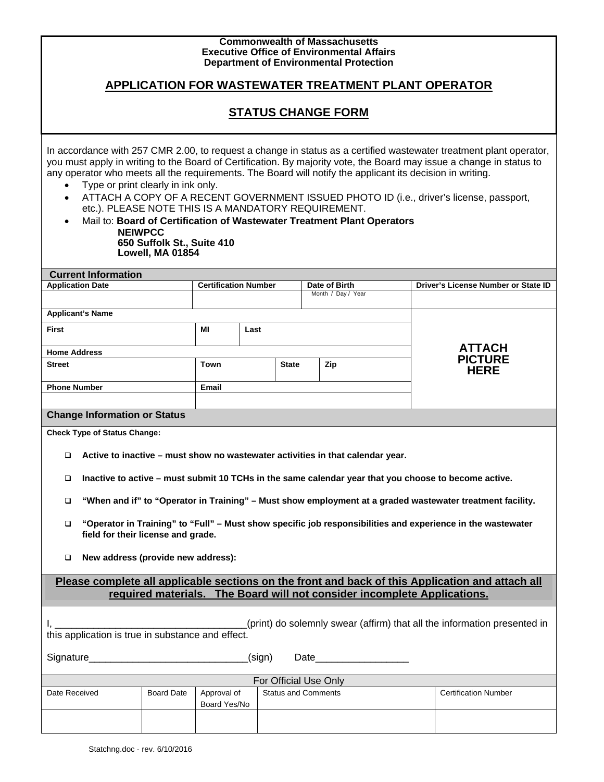| <b>Commonwealth of Massachusetts</b><br><b>Executive Office of Environmental Affairs</b><br><b>Department of Environmental Protection</b>                                                                                                                                                                                                                                                                                                                                                                                                                                                                                                                                                                                             |                   |                                              |              |  |                            |               |                                     |  |
|---------------------------------------------------------------------------------------------------------------------------------------------------------------------------------------------------------------------------------------------------------------------------------------------------------------------------------------------------------------------------------------------------------------------------------------------------------------------------------------------------------------------------------------------------------------------------------------------------------------------------------------------------------------------------------------------------------------------------------------|-------------------|----------------------------------------------|--------------|--|----------------------------|---------------|-------------------------------------|--|
| APPLICATION FOR WASTEWATER TREATMENT PLANT OPERATOR                                                                                                                                                                                                                                                                                                                                                                                                                                                                                                                                                                                                                                                                                   |                   |                                              |              |  |                            |               |                                     |  |
| <b>STATUS CHANGE FORM</b>                                                                                                                                                                                                                                                                                                                                                                                                                                                                                                                                                                                                                                                                                                             |                   |                                              |              |  |                            |               |                                     |  |
| In accordance with 257 CMR 2.00, to request a change in status as a certified wastewater treatment plant operator,<br>you must apply in writing to the Board of Certification. By majority vote, the Board may issue a change in status to<br>any operator who meets all the requirements. The Board will notify the applicant its decision in writing.<br>Type or print clearly in ink only.<br>$\bullet$<br>ATTACH A COPY OF A RECENT GOVERNMENT ISSUED PHOTO ID (i.e., driver's license, passport,<br>$\bullet$<br>etc.). PLEASE NOTE THIS IS A MANDATORY REQUIREMENT.<br>Mail to: Board of Certification of Wastewater Treatment Plant Operators<br>$\bullet$<br><b>NEIWPCC</b><br>650 Suffolk St., Suite 410<br>Lowell, MA 01854 |                   |                                              |              |  |                            |               |                                     |  |
| <b>Current Information</b><br><b>Application Date</b>                                                                                                                                                                                                                                                                                                                                                                                                                                                                                                                                                                                                                                                                                 |                   | <b>Certification Number</b><br>Date of Birth |              |  |                            |               | Driver's License Number or State ID |  |
|                                                                                                                                                                                                                                                                                                                                                                                                                                                                                                                                                                                                                                                                                                                                       |                   |                                              |              |  | Month / Day / Year         |               |                                     |  |
| <b>Applicant's Name</b>                                                                                                                                                                                                                                                                                                                                                                                                                                                                                                                                                                                                                                                                                                               |                   |                                              |              |  |                            |               |                                     |  |
| <b>First</b>                                                                                                                                                                                                                                                                                                                                                                                                                                                                                                                                                                                                                                                                                                                          |                   | MI<br>Last                                   |              |  |                            |               |                                     |  |
| <b>Home Address</b>                                                                                                                                                                                                                                                                                                                                                                                                                                                                                                                                                                                                                                                                                                                   |                   |                                              |              |  |                            | <b>ATTACH</b> |                                     |  |
| <b>Street</b>                                                                                                                                                                                                                                                                                                                                                                                                                                                                                                                                                                                                                                                                                                                         |                   | Town                                         | <b>State</b> |  | Zip                        |               | <b>PICTURE</b><br><b>HERE</b>       |  |
| <b>Phone Number</b>                                                                                                                                                                                                                                                                                                                                                                                                                                                                                                                                                                                                                                                                                                                   |                   | Email                                        |              |  |                            |               |                                     |  |
| <b>Change Information or Status</b>                                                                                                                                                                                                                                                                                                                                                                                                                                                                                                                                                                                                                                                                                                   |                   |                                              |              |  |                            |               |                                     |  |
| <b>Check Type of Status Change:</b>                                                                                                                                                                                                                                                                                                                                                                                                                                                                                                                                                                                                                                                                                                   |                   |                                              |              |  |                            |               |                                     |  |
| Active to inactive – must show no wastewater activities in that calendar year.<br>□                                                                                                                                                                                                                                                                                                                                                                                                                                                                                                                                                                                                                                                   |                   |                                              |              |  |                            |               |                                     |  |
| Inactive to active - must submit 10 TCHs in the same calendar year that you choose to become active.<br>□                                                                                                                                                                                                                                                                                                                                                                                                                                                                                                                                                                                                                             |                   |                                              |              |  |                            |               |                                     |  |
| "When and if" to "Operator in Training" - Must show employment at a graded wastewater treatment facility.<br>□                                                                                                                                                                                                                                                                                                                                                                                                                                                                                                                                                                                                                        |                   |                                              |              |  |                            |               |                                     |  |
| "Operator in Training" to "Full" - Must show specific job responsibilities and experience in the wastewater<br>$\Box$<br>field for their license and grade.                                                                                                                                                                                                                                                                                                                                                                                                                                                                                                                                                                           |                   |                                              |              |  |                            |               |                                     |  |
| New address (provide new address):<br>□                                                                                                                                                                                                                                                                                                                                                                                                                                                                                                                                                                                                                                                                                               |                   |                                              |              |  |                            |               |                                     |  |
| Please complete all applicable sections on the front and back of this Application and attach all<br>required materials. The Board will not consider incomplete Applications.                                                                                                                                                                                                                                                                                                                                                                                                                                                                                                                                                          |                   |                                              |              |  |                            |               |                                     |  |
| (print) do solemnly swear (affirm) that all the information presented in<br>Ι,<br>this application is true in substance and effect.                                                                                                                                                                                                                                                                                                                                                                                                                                                                                                                                                                                                   |                   |                                              |              |  |                            |               |                                     |  |
| Signature Signature Signature Communications and the Signature Communications and the Signature Communications<br>(sign)                                                                                                                                                                                                                                                                                                                                                                                                                                                                                                                                                                                                              |                   |                                              |              |  |                            |               |                                     |  |
| For Official Use Only                                                                                                                                                                                                                                                                                                                                                                                                                                                                                                                                                                                                                                                                                                                 |                   |                                              |              |  |                            |               |                                     |  |
| Date Received                                                                                                                                                                                                                                                                                                                                                                                                                                                                                                                                                                                                                                                                                                                         | <b>Board Date</b> | Approval of<br>Board Yes/No                  |              |  | <b>Status and Comments</b> |               | <b>Certification Number</b>         |  |
|                                                                                                                                                                                                                                                                                                                                                                                                                                                                                                                                                                                                                                                                                                                                       |                   |                                              |              |  |                            |               |                                     |  |